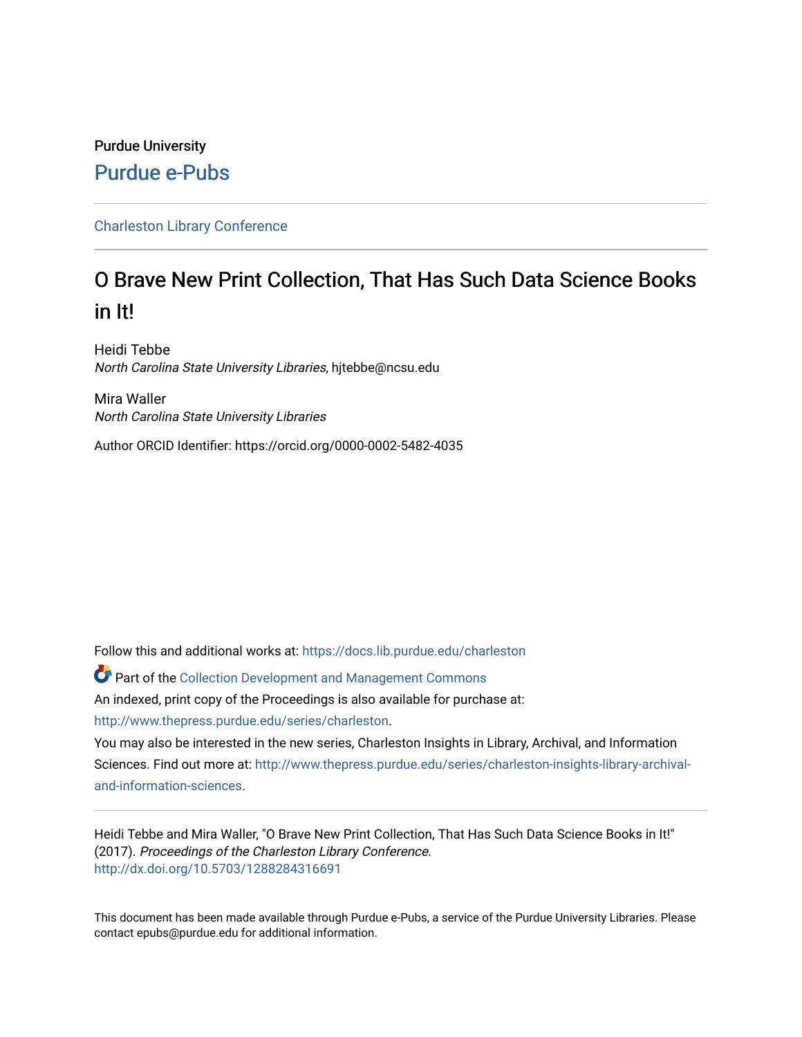# Purdue University [Purdue e-Pubs](https://docs.lib.purdue.edu/)

## [Charleston Library Conference](https://docs.lib.purdue.edu/charleston)

# O Brave New Print Collection, That Has Such Data Science Books in It!

Heidi Tebbe North Carolina State University Libraries, hjtebbe@ncsu.edu

Mira Waller North Carolina State University Libraries

Author ORCID Identifier: https://orcid.org/0000-0002-5482-4035

Follow this and additional works at: [https://docs.lib.purdue.edu/charleston](https://docs.lib.purdue.edu/charleston?utm_source=docs.lib.purdue.edu%2Fcharleston%2F2017%2Fcollectiondevelopment%2F11&utm_medium=PDF&utm_campaign=PDFCoverPages) 

Part of the [Collection Development and Management Commons](http://network.bepress.com/hgg/discipline/1271?utm_source=docs.lib.purdue.edu%2Fcharleston%2F2017%2Fcollectiondevelopment%2F11&utm_medium=PDF&utm_campaign=PDFCoverPages)  An indexed, print copy of the Proceedings is also available for purchase at: [http://www.thepress.purdue.edu/series/charleston.](http://www.thepress.purdue.edu/series/charleston)

You may also be interested in the new series, Charleston Insights in Library, Archival, and Information Sciences. Find out more at: [http://www.thepress.purdue.edu/series/charleston-insights-library-archival](http://www.thepress.purdue.edu/series/charleston-insights-library-archival-and-information-sciences)[and-information-sciences](http://www.thepress.purdue.edu/series/charleston-insights-library-archival-and-information-sciences).

Heidi Tebbe and Mira Waller, "O Brave New Print Collection, That Has Such Data Science Books in It!" (2017). Proceedings of the Charleston Library Conference. <http://dx.doi.org/10.5703/1288284316691>

This document has been made available through Purdue e-Pubs, a service of the Purdue University Libraries. Please contact epubs@purdue.edu for additional information.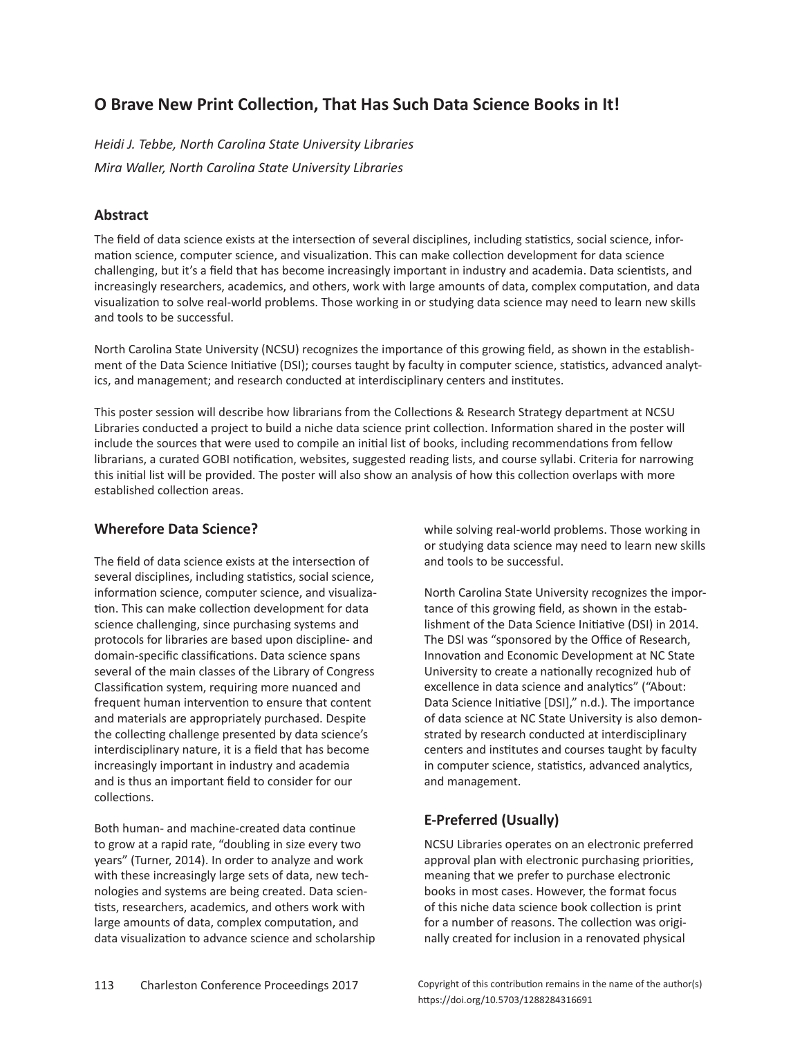# **O Brave New Print Collection, That Has Such Data Science Books in It!**

*Heidi J. Tebbe, North Carolina State University Libraries Mira Waller, North Carolina State University Libraries*

#### **Abstract**

The field of data science exists at the intersection of several disciplines, including statistics, social science, information science, computer science, and visualization. This can make collection development for data science challenging, but it's a field that has become increasingly important in industry and academia. Data scientists, and increasingly researchers, academics, and others, work with large amounts of data, complex computation, and data visualization to solve real-world problems. Those working in or studying data science may need to learn new skills and tools to be successful.

North Carolina State University (NCSU) recognizes the importance of this growing field, as shown in the establishment of the Data Science Initiative (DSI); courses taught by faculty in computer science, statistics, advanced analytics, and management; and research conducted at interdisciplinary centers and institutes.

This poster session will describe how librarians from the Collections & Research Strategy department at NCSU Libraries conducted a project to build a niche data science print collection. Information shared in the poster will include the sources that were used to compile an initial list of books, including recommendations from fellow librarians, a curated GOBI notification, websites, suggested reading lists, and course syllabi. Criteria for narrowing this initial list will be provided. The poster will also show an analysis of how this collection overlaps with more established collection areas.

## **Wherefore Data Science?**

The field of data science exists at the intersection of several disciplines, including statistics, social science, information science, computer science, and visualization. This can make collection development for data science challenging, since purchasing systems and protocols for libraries are based upon discipline- and domain-specific classifications. Data science spans several of the main classes of the Library of Congress Classification system, requiring more nuanced and frequent human intervention to ensure that content and materials are appropriately purchased. Despite the collecting challenge presented by data science's interdisciplinary nature, it is a field that has become increasingly important in industry and academia and is thus an important field to consider for our collections.

Both human- and machine-created data continue to grow at a rapid rate, "doubling in size every two years" (Turner, 2014). In order to analyze and work with these increasingly large sets of data, new technologies and systems are being created. Data scientists, researchers, academics, and others work with large amounts of data, complex computation, and data visualization to advance science and scholarship while solving real-world problems. Those working in or studying data science may need to learn new skills and tools to be successful.

North Carolina State University recognizes the importance of this growing field, as shown in the establishment of the Data Science Initiative (DSI) in 2014. The DSI was "sponsored by the Office of Research, Innovation and Economic Development at NC State University to create a nationally recognized hub of excellence in data science and analytics" ("About: Data Science Initiative [DSI]," n.d.). The importance of data science at NC State University is also demonstrated by research conducted at interdisciplinary centers and institutes and courses taught by faculty in computer science, statistics, advanced analytics, and management.

# **E-Preferred (Usually)**

NCSU Libraries operates on an electronic preferred approval plan with electronic purchasing priorities, meaning that we prefer to purchase electronic books in most cases. However, the format focus of this niche data science book collection is print for a number of reasons. The collection was originally created for inclusion in a renovated physical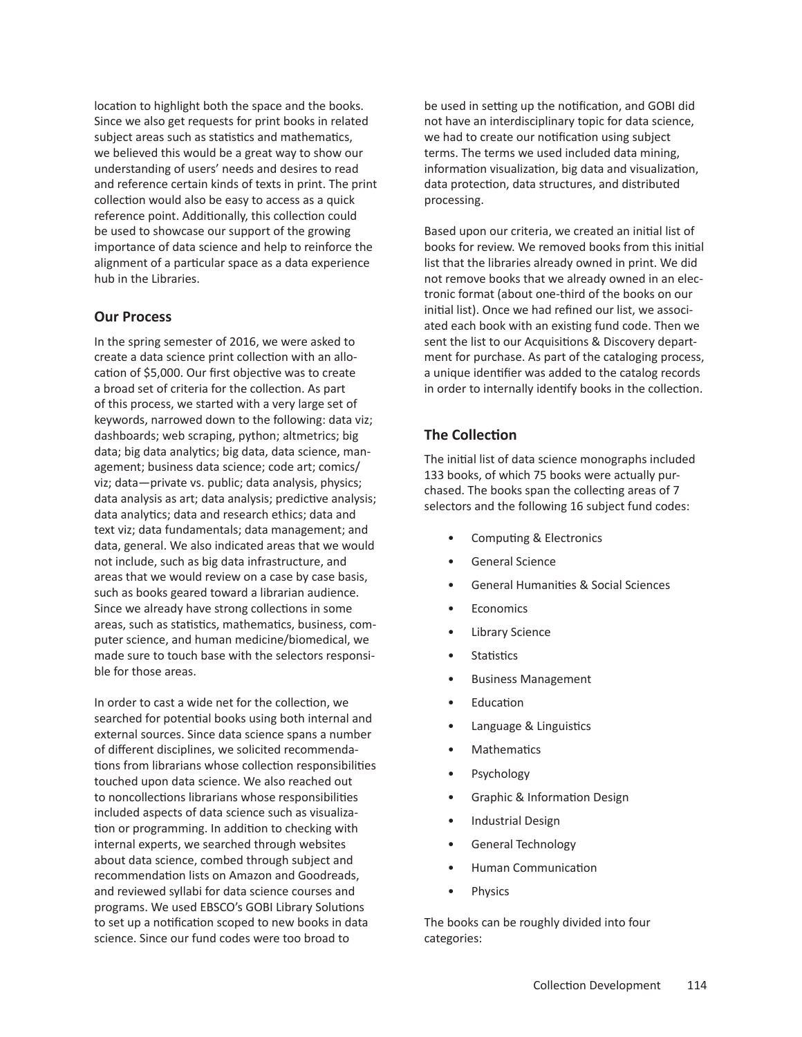location to highlight both the space and the books. Since we also get requests for print books in related subject areas such as statistics and mathematics, we believed this would be a great way to show our understanding of users' needs and desires to read and reference certain kinds of texts in print. The print collection would also be easy to access as a quick reference point. Additionally, this collection could be used to showcase our support of the growing importance of data science and help to reinforce the alignment of a particular space as a data experience hub in the Libraries.

#### **Our Process**

In the spring semester of 2016, we were asked to create a data science print collection with an allocation of \$5,000. Our first objective was to create a broad set of criteria for the collection. As part of this process, we started with a very large set of keywords, narrowed down to the following: data viz; dashboards; web scraping, python; altmetrics; big data; big data analytics; big data, data science, management; business data science; code art; comics/ viz; data—private vs. public; data analysis, physics; data analysis as art; data analysis; predictive analysis; data analytics; data and research ethics; data and text viz; data fundamentals; data management; and data, general. We also indicated areas that we would not include, such as big data infrastructure, and areas that we would review on a case by case basis, such as books geared toward a librarian audience. Since we already have strong collections in some areas, such as statistics, mathematics, business, computer science, and human medicine/biomedical, we made sure to touch base with the selectors responsible for those areas.

In order to cast a wide net for the collection, we searched for potential books using both internal and external sources. Since data science spans a number of different disciplines, we solicited recommendations from librarians whose collection responsibilities touched upon data science. We also reached out to noncollections librarians whose responsibilities included aspects of data science such as visualization or programming. In addition to checking with internal experts, we searched through websites about data science, combed through subject and recommendation lists on Amazon and Goodreads, and reviewed syllabi for data science courses and programs. We used EBSCO's GOBI Library Solutions to set up a notification scoped to new books in data science. Since our fund codes were too broad to

be used in setting up the notification, and GOBI did not have an interdisciplinary topic for data science, we had to create our notification using subject terms. The terms we used included data mining, information visualization, big data and visualization, data protection, data structures, and distributed processing.

Based upon our criteria, we created an initial list of books for review. We removed books from this initial list that the libraries already owned in print. We did not remove books that we already owned in an electronic format (about one-third of the books on our initial list). Once we had refined our list, we associated each book with an existing fund code. Then we sent the list to our Acquisitions & Discovery department for purchase. As part of the cataloging process, a unique identifier was added to the catalog records in order to internally identify books in the collection.

## **The Collection**

The initial list of data science monographs included 133 books, of which 75 books were actually purchased. The books span the collecting areas of 7 selectors and the following 16 subject fund codes:

- Computing & Electronics
- General Science
- General Humanities & Social Sciences
- **Economics**
- Library Science
- Statistics
- Business Management
- Education
- Language & Linguistics
- **Mathematics**
- Psychology
- Graphic & Information Design
- Industrial Design
- General Technology
- Human Communication
- **Physics**

The books can be roughly divided into four categories: